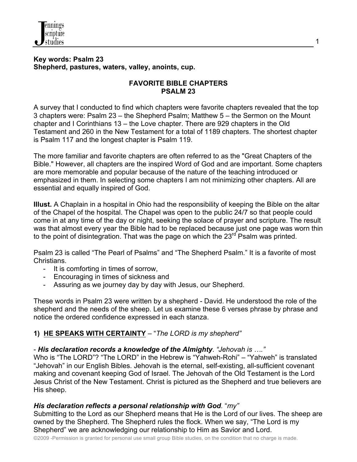

### **Key words: Psalm 23 Shepherd, pastures, waters, valley, anoints, cup.**

### **FAVORITE BIBLE CHAPTERS PSALM 23**

A survey that I conducted to find which chapters were favorite chapters revealed that the top 3 chapters were: Psalm 23 – the Shepherd Psalm; Matthew 5 – the Sermon on the Mount chapter and I Corinthians 13 – the Love chapter. There are 929 chapters in the Old Testament and 260 in the New Testament for a total of 1189 chapters. The shortest chapter is Psalm 117 and the longest chapter is Psalm 119.

The more familiar and favorite chapters are often referred to as the "Great Chapters of the Bible." However, all chapters are the inspired Word of God and are important. Some chapters are more memorable and popular because of the nature of the teaching introduced or emphasized in them. In selecting some chapters I am not minimizing other chapters. All are essential and equally inspired of God.

**Illust.** A Chaplain in a hospital in Ohio had the responsibility of keeping the Bible on the altar of the Chapel of the hospital. The Chapel was open to the public 24/7 so that people could come in at any time of the day or night, seeking the solace of prayer and scripture. The result was that almost every year the Bible had to be replaced because just one page was worn thin to the point of disintegration. That was the page on which the  $23<sup>rd</sup>$  Psalm was printed.

Psalm 23 is called "The Pearl of Psalms" and "The Shepherd Psalm." It is a favorite of most Christians.

- It is comforting in times of sorrow,
- Encouraging in times of sickness and
- Assuring as we journey day by day with Jesus, our Shepherd.

These words in Psalm 23 were written by a shepherd - David. He understood the role of the shepherd and the needs of the sheep. Let us examine these 6 verses phrase by phrase and notice the ordered confidence expressed in each stanza.

# **1) HE SPEAKS WITH CERTAINTY** – "*The LORD is my shepherd"*

# - *His declaration records a knowledge of the Almighty*. *"Jehovah is …."*

Who is "The LORD"? "The LORD" in the Hebrew is "Yahweh-Rohi" – "Yahweh" is translated "Jehovah" in our English Bibles. Jehovah is the eternal, self-existing, all-sufficient covenant making and covenant keeping God of Israel. The Jehovah of the Old Testament is the Lord Jesus Christ of the New Testament. Christ is pictured as the Shepherd and true believers are His sheep.

## *His declaration reflects a personal relationship with God.* "*my"*

Submitting to the Lord as our Shepherd means that He is the Lord of our lives. The sheep are owned by the Shepherd. The Shepherd rules the flock. When we say, "The Lord is my Shepherd" we are acknowledging our relationship to Him as Savior and Lord.

©2009 -Permission is granted for personal use small group Bible studies, on the condition that no charge is made.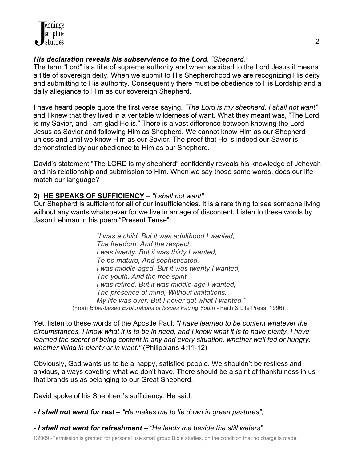

### *His declaration reveals his subservience to the Lord*. *"Shepherd."*

The term "Lord" is a title of supreme authority and when ascribed to the Lord Jesus it means a title of sovereign deity. When we submit to His Shepherdhood we are recognizing His deity and submitting to His authority. Consequently there must be obedience to His Lordship and a daily allegiance to Him as our sovereign Shepherd.

I have heard people quote the first verse saying, *"The Lord is my shepherd, I shall not want"* and I knew that they lived in a veritable wilderness of want. What they meant was, "The Lord is my Savior, and I am glad He is." There is a vast difference between knowing the Lord Jesus as Savior and following Him as Shepherd. We cannot know Him as our Shepherd unless and until we know Him as our Savior. The proof that He is indeed our Savior is demonstrated by our obedience to Him as our Shepherd.

David's statement "The LORD is my shepherd" confidently reveals his knowledge of Jehovah and his relationship and submission to Him. When we say those same words, does our life match our language?

## **2) HE SPEAKS OF SUFFICIENCY** – *"I shall not want"*

Our Shepherd is sufficient for all of our insufficiencies. It is a rare thing to see someone living without any wants whatsoever for we live in an age of discontent. Listen to these words by Jason Lehman in his poem "Present Tense":

> *"I was a child. But it was adulthood I wanted, The freedom, And the respect. I was twenty. But it was thirty I wanted, To be mature, And sophisticated. I was middle-aged. But it was twenty I wanted, The youth, And the free spirit. I was retired. But it was middle-age I wanted, The presence of mind, Without limitations. My life was over. But I never got what I wanted."* (From *Bible-based Explorations of Issues Facing Youth -* Faith & Life Press, 1996)

Yet, listen to these words of the Apostle Paul, *"I have learned to be content whatever the circumstances. I know what it is to be in need, and I know what it is to have plenty. I have*  learned the secret of being content in any and every situation, whether well fed or hungry, *whether living in plenty or in want."* (Philippians 4:11-12)

Obviously, God wants us to be a happy, satisfied people. We shouldn't be restless and anxious, always coveting what we don't have. There should be a spirit of thankfulness in us that brands us as belonging to our Great Shepherd.

David spoke of his Shepherd's sufficiency. He said:

*- I shall not want for rest* – *"He makes me to lie down in green pastures";*

- *I shall not want for refreshment* – *"He leads me beside the still waters"*

©2009 -Permission is granted for personal use small group Bible studies, on the condition that no charge is made.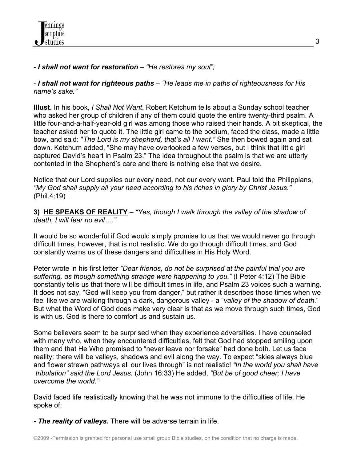

### - *I shall not want for restoration* – *"He restores my soul";*

- *I shall not want for righteous paths* – *"He leads me in paths of righteousness for His name's sake."*

**Illust.** In his book, *I Shall Not Want*, Robert Ketchum tells about a Sunday school teacher who asked her group of children if any of them could quote the entire twenty-third psalm. A little four-and-a-half-year-old girl was among those who raised their hands. A bit skeptical, the teacher asked her to quote it. The little girl came to the podium, faced the class, made a little bow, and said: "*The Lord is my shepherd, that's all I want."* She then bowed again and sat down. Ketchum added, "She may have overlooked a few verses, but I think that little girl captured David's heart in Psalm 23." The idea throughout the psalm is that we are utterly contented in the Shepherd's care and there is nothing else that we desire.

Notice that our Lord supplies our every need, not our every want. Paul told the Philippians, *"My God shall supply all your need according to his riches in glory by Christ Jesus."* (Phil.4:19)

**3) HE SPEAKS OF REALITY** – *"Yes, though I walk through the valley of the shadow of death, I will fear no evil…."* 

It would be so wonderful if God would simply promise to us that we would never go through difficult times, however, that is not realistic. We do go through difficult times, and God constantly warns us of these dangers and difficulties in His Holy Word.

Peter wrote in his first letter *"Dear friends, do not be surprised at the painful trial you are suffering, as though something strange were happening to you."* (I Peter 4:12) The Bible constantly tells us that there will be difficult times in life, and Psalm 23 voices such a warning. It does not say, "God will keep you from danger," but rather it describes those times when we feel like we are walking through a dark, dangerous valley - a "*valley of the shadow of death.*" But what the Word of God does make very clear is that as we move through such times, God is with us. God is there to comfort us and sustain us.

Some believers seem to be surprised when they experience adversities. I have counseled with many who, when they encountered difficulties, felt that God had stopped smiling upon them and that He Who promised to "never leave nor forsake" had done both. Let us face reality: there will be valleys, shadows and evil along the way. To expect "skies always blue and flower strewn pathways all our lives through" is not realistic! *"In the world you shall have tribulation" said the Lord Jesus.* (John 16:33) He added, *"But be of good cheer; I have overcome the world."* 

David faced life realistically knowing that he was not immune to the difficulties of life. He spoke of:

**-** *The reality of valleys***.** There will be adverse terrain in life.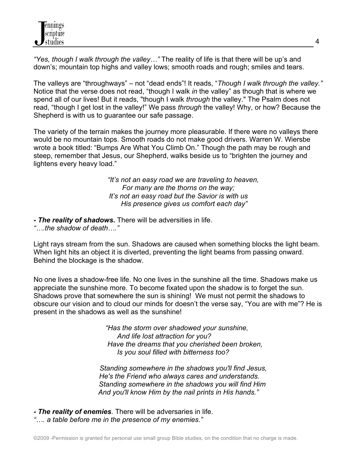*"Yes, though I walk through the valley…"* The reality of life is that there will be up's and down's; mountain top highs and valley lows; smooth roads and rough; smiles and tears.

The valleys are "throughways" – not "dead ends"! It reads, "*Though I walk through the valley."* Notice that the verse does not read, "though I walk *in* the valley" as though that is where we spend all of our lives! But it reads, "though I walk *through* the valley." The Psalm does not read, "though I get lost in the valley!" We pass *through* the valley! Why, or how? Because the Shepherd is with us to guarantee our safe passage.

The variety of the terrain makes the journey more pleasurable. If there were no valleys there would be no mountain tops. Smooth roads do not make good drivers. Warren W. Wiersbe wrote a book titled: "Bumps Are What You Climb On." Though the path may be rough and steep, remember that Jesus, our Shepherd, walks beside us to "brighten the journey and lightens every heavy load."

> *"It's not an easy road we are traveling to heaven, For many are the thorns on the way; It's not an easy road but the Savior is with us His presence gives us comfort each day"*

**-** *The reality of shadows***.** There will be adversities in life.

*"….the shadow of death…."*

Light rays stream from the sun. Shadows are caused when something blocks the light beam. When light hits an object it is diverted, preventing the light beams from passing onward. Behind the blockage is the shadow.

No one lives a shadow-free life. No one lives in the sunshine all the time. Shadows make us appreciate the sunshine more. To become fixated upon the shadow is to forget the sun. Shadows prove that somewhere the sun is shining! We must not permit the shadows to obscure our vision and to cloud our minds for doesn't the verse say, "You are with me"? He is present in the shadows as well as the sunshine!

> *"Has the storm over shadowed your sunshine, And life lost attraction for you? Have the dreams that you cherished been broken, Is you soul filled with bitterness too?*

 *Standing somewhere in the shadows you'll find Jesus, He's the Friend who always cares and understands. Standing somewhere in the shadows you will find Him And you'll know Him by the nail prints in His hands."*

*- The reality of enemies*. There will be adversaries in life. *"…. a table before me in the presence of my enemies."*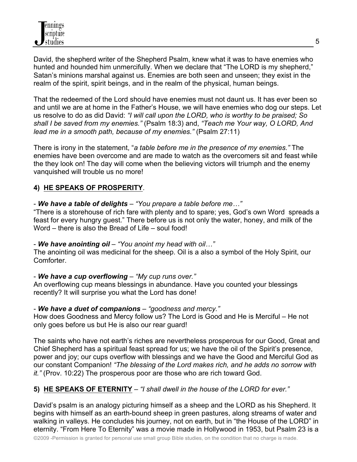David, the shepherd writer of the Shepherd Psalm, knew what it was to have enemies who hunted and hounded him unmercifully. When we declare that "The LORD is my shepherd," Satan's minions marshal against us. Enemies are both seen and unseen; they exist in the realm of the spirit, spirit beings, and in the realm of the physical, human beings.

That the redeemed of the Lord should have enemies must not daunt us. It has ever been so and until we are at home in the Father's House, we will have enemies who dog our steps. Let us resolve to do as did David: *"I will call upon the LORD, who is worthy to be praised; So shall I be saved from my enemies."* (Psalm 18:3) and, *"Teach me Your way, O LORD, And lead me in a smooth path, because of my enemies."* (Psalm 27:11)

There is irony in the statement, "*a table before me in the presence of my enemies."* The enemies have been overcome and are made to watch as the overcomers sit and feast while the they look on! The day will come when the believing victors will triumph and the enemy vanquished will trouble us no more!

# **4) HE SPEAKS OF PROSPERITY**.

### - *We have a table of delights* – *"You prepare a table before me…"*

"There is a storehouse of rich fare with plenty and to spare; yes, God's own Word spreads a feast for every hungry guest." There before us is not only the water, honey, and milk of the Word – there is also the Bread of Life – soul food!

#### - *We have anointing oil* – *"You anoint my head with oil…"*

The anointing oil was medicinal for the sheep. Oil is a also a symbol of the Holy Spirit, our Comforter.

## - *We have a cup overflowing* – *"My cup runs over."*

An overflowing cup means blessings in abundance. Have you counted your blessings recently? It will surprise you what the Lord has done!

## - *We have a duet of companions* – *"goodness and mercy."*

How does Goodness and Mercy follow us? The Lord is Good and He is Merciful – He not only goes before us but He is also our rear guard!

The saints who have not earth's riches are nevertheless prosperous for our Good, Great and Chief Shepherd has a spiritual feast spread for us; we have the oil of the Spirit's presence, power and joy; our cups overflow with blessings and we have the Good and Merciful God as our constant Companion! *"The blessing of the Lord makes rich, and he adds no sorrow with it."* (Prov. 10:22) The prosperous poor are those who are rich toward God.

# **5) HE SPEAKS OF ETERNITY** – *"I shall dwell in the house of the LORD for ever."*

David's psalm is an analogy picturing himself as a sheep and the LORD as his Shepherd. It begins with himself as an earth-bound sheep in green pastures, along streams of water and walking in valleys. He concludes his journey, not on earth, but in "the House of the LORD" in eternity. "From Here To Eternity" was a movie made in Hollywood in 1953, but Psalm 23 is a